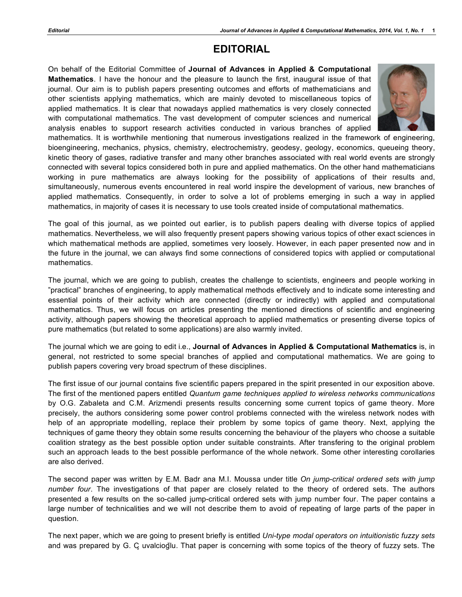## **EDITORIAL**

On behalf of the Editorial Committee of **Journal of Advances in Applied & Computational Mathematics**. I have the honour and the pleasure to launch the first, inaugural issue of that journal. Our aim is to publish papers presenting outcomes and efforts of mathematicians and other scientists applying mathematics, which are mainly devoted to miscellaneous topics of applied mathematics. It is clear that nowadays applied mathematics is very closely connected with computational mathematics. The vast development of computer sciences and numerical analysis enables to support research activities conducted in various branches of applied



mathematics. It is worthwhile mentioning that numerous investigations realized in the framework of engineering, bioengineering, mechanics, physics, chemistry, electrochemistry, geodesy, geology, economics, queueing theory, kinetic theory of gases, radiative transfer and many other branches associated with real world events are strongly connected with several topics considered both in pure and applied mathematics. On the other hand mathematicians working in pure mathematics are always looking for the possibility of applications of their results and, simultaneously, numerous events encountered in real world inspire the development of various, new branches of applied mathematics. Consequently, in order to solve a lot of problems emerging in such a way in applied mathematics, in majority of cases it is necessary to use tools created inside of computational mathematics.

The goal of this journal, as we pointed out earlier, is to publish papers dealing with diverse topics of applied mathematics. Nevertheless, we will also frequently present papers showing various topics of other exact sciences in which mathematical methods are applied, sometimes very loosely. However, in each paper presented now and in the future in the journal, we can always find some connections of considered topics with applied or computational mathematics.

The journal, which we are going to publish, creates the challenge to scientists, engineers and people working in "practical" branches of engineering, to apply mathematical methods effectively and to indicate some interesting and essential points of their activity which are connected (directly or indirectly) with applied and computational mathematics. Thus, we will focus on articles presenting the mentioned directions of scientific and engineering activity, although papers showing the theoretical approach to applied mathematics or presenting diverse topics of pure mathematics (but related to some applications) are also warmly invited.

The journal which we are going to edit i.e., **Journal of Advances in Applied & Computational Mathematics** is, in general, not restricted to some special branches of applied and computational mathematics. We are going to publish papers covering very broad spectrum of these disciplines.

The first issue of our journal contains five scientific papers prepared in the spirit presented in our exposition above. The first of the mentioned papers entitled *Quantum game techniques applied to wireless networks communications*  by O.G. Zabaleta and C.M. Arizmendi presents results concerning some current topics of game theory. More precisely, the authors considering some power control problems connected with the wireless network nodes with help of an appropriate modelling, replace their problem by some topics of game theory. Next, applying the techniques of game theory they obtain some results concerning the behaviour of the players who choose a suitable coalition strategy as the best possible option under suitable constraints. After transfering to the original problem such an approach leads to the best possible performance of the whole network. Some other interesting corollaries are also derived.

The second paper was written by E.M. Badr ana M.I. Moussa under title *On jump-critical ordered sets with jump number four*. The investigations of that paper are closely related to the theory of ordered sets. The authors presented a few results on the so-called jump-critical ordered sets with jump number four. The paper contains a large number of technicalities and we will not describe them to avoid of repeating of large parts of the paper in question.

The next paper, which we are going to present briefly is entitled *Uni-type modal operators on intuitionistic fuzzy sets*  and was prepared by G. C uvalcioglu. That paper is concerning with some topics of the theory of fuzzy sets. The